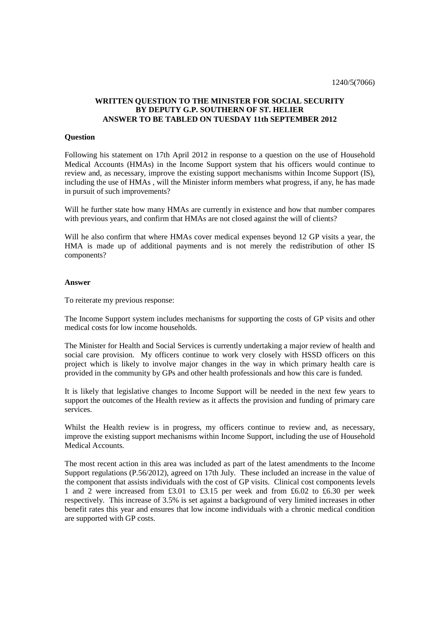## **WRITTEN QUESTION TO THE MINISTER FOR SOCIAL SECURITY BY DEPUTY G.P. SOUTHERN OF ST. HELIER ANSWER TO BE TABLED ON TUESDAY 11th SEPTEMBER 2012**

## **Question**

Following his statement on 17th April 2012 in response to a question on the use of Household Medical Accounts (HMAs) in the Income Support system that his officers would continue to review and, as necessary, improve the existing support mechanisms within Income Support (IS), including the use of HMAs , will the Minister inform members what progress, if any, he has made in pursuit of such improvements?

Will he further state how many HMAs are currently in existence and how that number compares with previous years, and confirm that HMAs are not closed against the will of clients?

Will he also confirm that where HMAs cover medical expenses beyond 12 GP visits a year, the HMA is made up of additional payments and is not merely the redistribution of other IS components?

## **Answer**

To reiterate my previous response:

The Income Support system includes mechanisms for supporting the costs of GP visits and other medical costs for low income households.

The Minister for Health and Social Services is currently undertaking a major review of health and social care provision. My officers continue to work very closely with HSSD officers on this project which is likely to involve major changes in the way in which primary health care is provided in the community by GPs and other health professionals and how this care is funded.

It is likely that legislative changes to Income Support will be needed in the next few years to support the outcomes of the Health review as it affects the provision and funding of primary care services.

Whilst the Health review is in progress, my officers continue to review and, as necessary, improve the existing support mechanisms within Income Support, including the use of Household Medical Accounts.

The most recent action in this area was included as part of the latest amendments to the Income Support regulations (P.56/2012), agreed on 17th July. These included an increase in the value of the component that assists individuals with the cost of GP visits. Clinical cost components levels 1 and 2 were increased from £3.01 to £3.15 per week and from £6.02 to £6.30 per week respectively. This increase of 3.5% is set against a background of very limited increases in other benefit rates this year and ensures that low income individuals with a chronic medical condition are supported with GP costs.